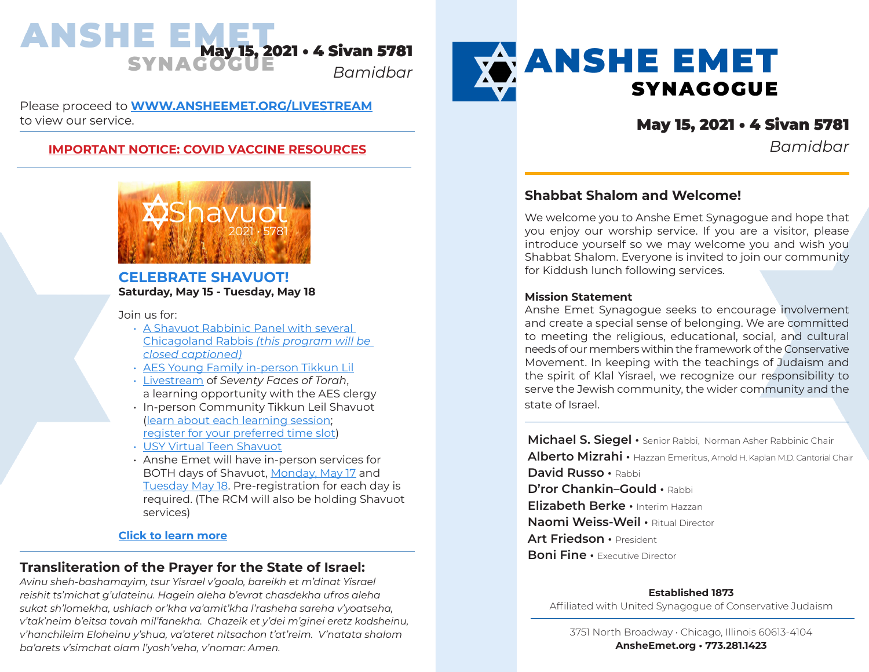

Please proceed to **[WWW.ANSHEEMET.ORG/LIVESTREAM](https://www.ansheemet.org/podcastslivestream/livestream/)** to view our service.

# **[IMPORTANT NOTICE: COVID VACCINE RESOURCES](https://www.ansheemet.org/wp-content/uploads/2021/03/COVID-Vaccine-Resources-first-draft20-1.pdf)** *Bamidbar*



## **CELEBRATE SHAVUOT! Saturday, May 15 - Tuesday, May 18**

Join us for:

- [A Shavuot Rabbinic Panel with several](https://us02web.zoom.us/meeting/register/tZUscuCsrT4sGNXbsnrDhMFRJleXaflDY3Ao)  [Chicagoland Rabbis](https://us02web.zoom.us/meeting/register/tZUscuCsrT4sGNXbsnrDhMFRJleXaflDY3Ao) *(this program will be closed captioned)*
- [AES Young Family in-person Tikkun Lil](https://ansheemet.wufoo.com/forms/x1hvkm1h18dnwnt/)
- [Livestream](https://www.ansheemet.org/podcasts/livestream/) of *Seventy Faces of Torah*, a learning opportunity with the AES clergy
- In-person Community Tikkun Leil Shavuot ([learn about each learning session](https://docs.google.com/spreadsheets/d/1BbWor8QYcS3nHQIOYTkLb7WLNmE-HUs8AArMR6mIeJk/edit#gid=1799437229); [register for your preferred time slot\)](https://www.signupgenius.com/go/10c0a4baba723a0f94-tikkun1)
- [USY Virtual Teen Shavuot](https://www.usy.org/shavuot2021/)
- Anshe Emet will have in-person services for BOTH days of Shavuot, [Monday, May 17](https://cloud4good.tfaforms.net/390112) and [Tuesday May 18.](https://cloud4good.tfaforms.net/390113) Pre-registration for each day is required. (The RCM will also be holding Shavuot services)

### **[Click to learn more](https://www.ansheemet.org/pray/holidays/shavuot/)**

# **Transliteration of the Prayer for the State of Israel:**

*Avinu sheh-bashamayim, tsur Yisrael v'goalo, bareikh et m'dinat Yisrael reishit ts'michat g'ulateinu. Hagein aleha b'evrat chasdekha ufros aleha sukat sh'lomekha, ushlach or'kha va'amit'kha l'rasheha sareha v'yoatseha, v'tak'neim b'eitsa tovah mil'fanekha. Chazeik et y'dei m'ginei eretz kodsheinu, v'hanchileim Eloheinu y'shua, va'ateret nitsachon t'at'reim. V'natata shalom ba'arets v'simchat olam l'yosh'veha, v'nomar: Amen.*



# May 15, 2021 • 4 Sivan 5781

# **Shabbat Shalom and Welcome!**

We welcome you to Anshe Emet Synagogue and hope that you enjoy our worship service. If you are a visitor, please introduce yourself so we may welcome you and wish you Shabbat Shalom. Everyone is invited to join our community for Kiddush lunch following services.

#### **Mission Statement**

Anshe Emet Synagogue seeks to encourage involvement and create a special sense of belonging. We are committed to meeting the religious, educational, social, and cultural needs of our members within the framework of the Conservative Movement. In keeping with the teachings of Judaism and the spirit of Klal Yisrael, we recognize our responsibility to serve the Jewish community, the wider community and the state of Israel.

**Michael S. Siegel •** Senior Rabbi, Norman Asher Rabbinic Chair **Alberto Mizrahi •** Hazzan Emeritus, Arnold H. Kaplan M.D. Cantorial Chair **David Russo •** Rabbi **D'ror Chankin–Gould •** Rabbi **Elizabeth Berke •** Interim Hazzan **Naomi Weiss-Weil •** Ritual Director **Art Friedson •** President **Boni Fine • Executive Director** 

**Established 1873**

Affiliated with United Synagogue of Conservative Judaism

3751 North Broadway • Chicago, Illinois 60613-4104 **AnsheEmet.org • 773.281.1423**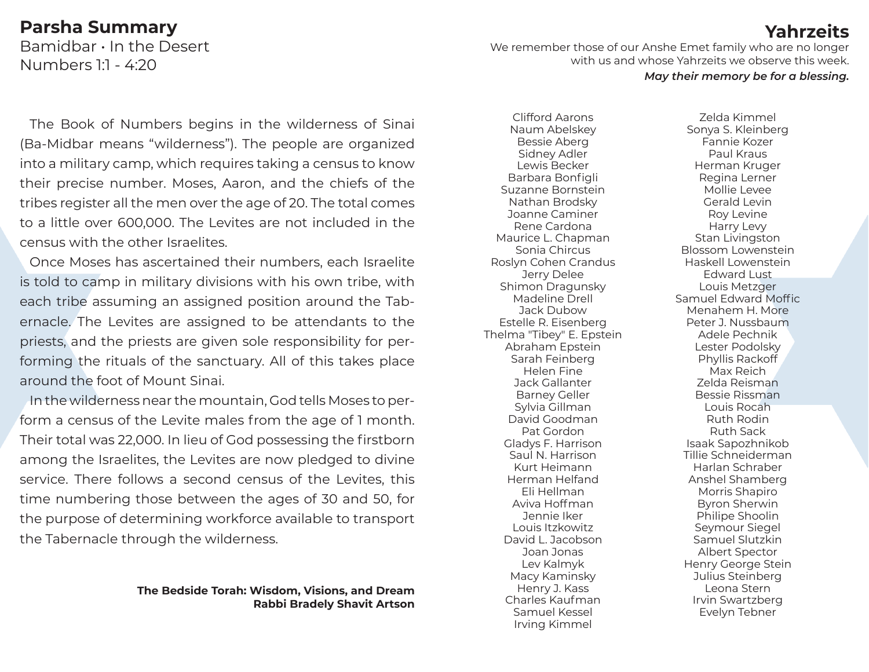# **Parsha Summary**

Bamidbar • In the Desert Numbers 1:1 - 4:20

We remember those of our Anshe Emet family who are no longer with us and whose Yahrzeits we observe this week.

#### *May their memory be for a blessing.*

The Book of Numbers begins in the wilderness of Sinai (Ba-Midbar means "wilderness"). The people are organized into a military camp, which requires taking a census to know their precise number. Moses, Aaron, and the chiefs of the tribes register all the men over the age of 20. The total comes to a little over 600,000. The Levites are not included in the census with the other Israelites.

Once Moses has ascertained their numbers, each Israelite is told to camp in military divisions with his own tribe, with each tribe assuming an assigned position around the Tabernacle. The Levites are assigned to be attendants to the priests, and the priests are given sole responsibility for performing the rituals of the sanctuary. All of this takes place around the foot of Mount Sinai.

In the wilderness near the mountain, God tells Moses to perform a census of the Levite males from the age of 1 month. Their total was 22,000. In lieu of God possessing the firstborn among the Israelites, the Levites are now pledged to divine service. There follows a second census of the Levites, this time numbering those between the ages of 30 and 50, for the purpose of determining workforce available to transport the Tabernacle through the wilderness.

### **The Bedside Torah: Wisdom, Visions, and Dream Rabbi Bradely Shavit Artson**

Naum Abelskey Bessie Aberg Sidney Adler Lewis Becker Barbara Bonfigli Suzanne Bornstein Nathan Brodsky Joanne Caminer Rene Cardona Maurice L. Chapman Sonia Chircus Roslyn Cohen Crandus Jerry Delee Shimon Dragunsky Madeline Drell Jack Dubow Estelle R. Eisenberg Thelma "Tibey" E. Epstein Abraham Epstein Sarah Feinberg Helen Fine Jack Gallanter Barney Geller Sylvia Gillman David Goodman Pat Gordon Gladys F. Harrison Saul N. Harrison Kurt Heimann Herman Helfand Eli Hellman Aviva Hoffman Jennie Iker Louis Itzkowitz David L. Jacobson Joan Jonas Lev Kalmyk Macy Kaminsky Henry J. Kass Charles Kaufman Samuel Kessel Irving Kimmel

Clifford Aarons

Zelda Kimmel Sonya S. Kleinberg Fannie Kozer Paul Kraus Herman Kruger Regina Lerner Mollie Levee Gerald Levin Roy Levine Harry Levy Stan Livingston Blossom Lowenstein Haskell Lowenstein Edward Lust Louis Metzger Samuel Edward Moffic Menahem H. More Peter J. Nussbaum Adele Pechnik Lester Podolsky Phyllis Rackoff Max Reich Zelda Reisman Bessie Rissman Louis Rocah Ruth Rodin Ruth Sack Isaak Sapozhnikob Tillie Schneiderman Harlan Schraber Anshel Shamberg Morris Shapiro Byron Sherwin Philipe Shoolin Seymour Siegel Samuel Slutzkin Albert Spector Henry George Stein Julius Steinberg Leona Stern Irvin Swartzberg Evelyn Tebner

# **Yahrzeits**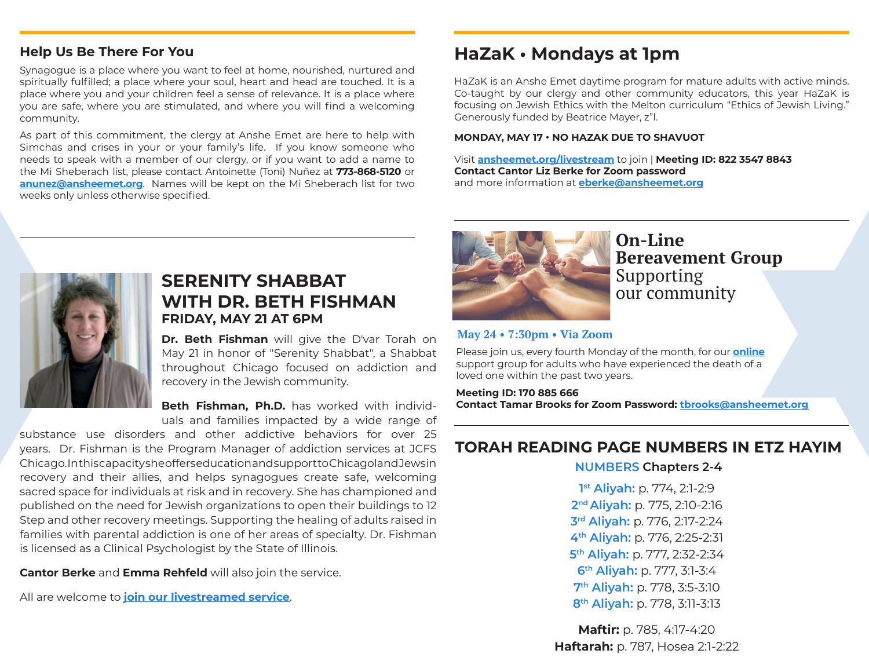# **Help Us Be There For You**

Synagogue is a place where you want to feel at home, nourished, nurtured and spiritually fulfilled; a place where your soul, heart and head are touched. It is a place where you and your children feel a sense of relevance. It is a place where you are safe, where you are stimulated, and where you will find a welcoming community.

As part of this commitment, the clergy at Anshe Emet are here to help with Simchas and crises in your or your family's life. If you know someone who needs to speak with a member of our clergy, or if you want to add a name to the Mi Sheberach list, please contact Antoinette (Toni) Nuñez at **773-868-5120** or **[anunez@ansheemet.org](mailto:anunez%40ansheemet.org?subject=)**. Names will be kept on the Mi Sheberach list for two weeks only unless otherwise specified.

# **HaZaK • Mondays at 1pm**

HaZaK is an Anshe Emet daytime program for mature adults with active minds. Co-taught by our clergy and other community educators, this year HaZaK is focusing on Jewish Ethics with the Melton curriculum "Ethics of Jewish Living." Generously funded by Beatrice Mayer, z"l.

#### **MONDAY, MAY 17 • NO HAZAK DUE TO SHAVUOT**

Visit **[ansheemet.org/livestream](https://www.ansheemet.org/podcasts/livestream/)** to join | **Meeting ID: 822 3547 8843 Contact Cantor Liz Berke for Zoom password** and more information at **[eberke@ansheemet.org](mailto:eberke%40ansheemet.org?subject=)**



# **SERENITY SHABBAT WITH DR. BETH FISHMAN FRIDAY, MAY 21 AT 6PM**

**Dr. Beth Fishman** will give the D'var Torah on May 21 in honor of "Serenity Shabbat", a Shabbat throughout Chicago focused on addiction and recovery in the Jewish community.

**Beth Fishman, Ph.D.** has worked with individuals and families impacted by a wide range of

substance use disorders and other addictive behaviors for over 25 years. Dr. Fishman is the Program Manager of addiction services at JCFS Chicago. In this capacity she offers education and support to Chicagoland Jews in recovery and their allies, and helps synagogues create safe, welcoming sacred space for individuals at risk and in recovery. She has championed and published on the need for Jewish organizations to open their buildings to 12 Step and other recovery meetings. Supporting the healing of adults raised in families with parental addiction is one of her areas of specialty. Dr. Fishman is licensed as a Clinical Psychologist by the State of Illinois.

**Cantor Berke** and **Emma Rehfeld** will also join the service.

All are welcome to **[join our livestreamed service](https://www.ansheemet.org/podcasts/livestream/)**.



**On-Line Bereavement Group** Supporting our community

### **May 24 • 7:30pm • Via Zoom**

Please join us, every fourth Monday of the month, for our **[online](https://zoom.us/j/170885666?pwd=cEF1VWw1OUNsTkZPK1dPNHpBdW9Idz09)** support group for adults who have experienced the death of a loved one within the past two years.

**Meeting ID: 170 885 666 Contact Tamar Brooks for Zoom Password: [tbrooks@ansheemet.org](mailto:tbrooks%40ansheemet.org?subject=)**

# **TORAH READING PAGE NUMBERS IN ETZ HAYIM**

**NUMBERS Chapters 2-4**

**1st Aliyah:** p. 774, 2:1-2:9 **2nd Aliyah:** p. 775, 2:10-2:16 **3rd Aliyah:** p. 776, 2:17-2:24 **4th Aliyah:** p. 776, 2:25-2:31 **5th Aliyah:** p. 777, 2:32-2:34 **6th Aliyah:** p. 777, 3:1-3:4 **7th Aliyah:** p. 778, 3:5-3:10 **8th Aliyah:** p. 778, 3:11-3:13

**Maftir: p. 785, 4:17-4:20 Haftarah:** p. 787, Hosea 2:1-2:22